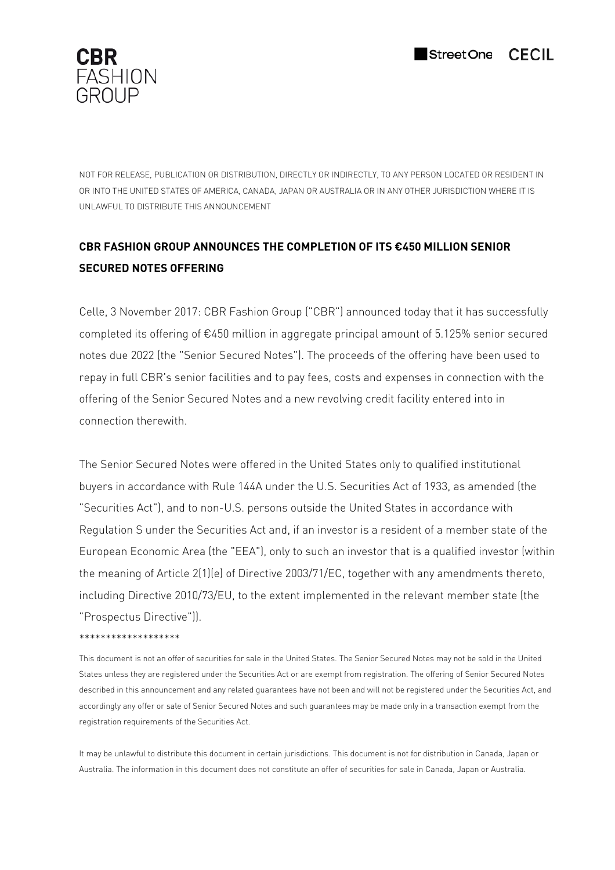

NOT FOR RELEASE, PUBLICATION OR DISTRIBUTION, DIRECTLY OR INDIRECTLY, TO ANY PERSON LOCATED OR RESIDENT IN OR INTO THE UNITED STATES OF AMERICA, CANADA, JAPAN OR AUSTRALIA OR IN ANY OTHER JURISDICTION WHERE IT IS UNLAWFUL TO DISTRIBUTE THIS ANNOUNCEMENT

# **CBR FASHION GROUP ANNOUNCES THE COMPLETION OF ITS €450 MILLION SENIOR SECURED NOTES OFFERING**

Celle, 3 November 2017: CBR Fashion Group ("CBR") announced today that it has successfully completed its offering of €450 million in aggregate principal amount of 5.125% senior secured notes due 2022 (the "Senior Secured Notes"). The proceeds of the offering have been used to repay in full CBR's senior facilities and to pay fees, costs and expenses in connection with the offering of the Senior Secured Notes and a new revolving credit facility entered into in connection therewith.

The Senior Secured Notes were offered in the United States only to qualified institutional buyers in accordance with Rule 144A under the U.S. Securities Act of 1933, as amended (the "Securities Act"), and to non-U.S. persons outside the United States in accordance with Regulation S under the Securities Act and, if an investor is a resident of a member state of the European Economic Area (the "EEA"), only to such an investor that is a qualified investor (within the meaning of Article 2(1)(e) of Directive 2003/71/EC, together with any amendments thereto, including Directive 2010/73/EU, to the extent implemented in the relevant member state (the "Prospectus Directive")).

# \*\*\*\*\*\*\*\*\*\*\*\*\*\*\*\*\*\*\*

This document is not an offer of securities for sale in the United States. The Senior Secured Notes may not be sold in the United States unless they are registered under the Securities Act or are exempt from registration. The offering of Senior Secured Notes described in this announcement and any related guarantees have not been and will not be registered under the Securities Act, and accordingly any offer or sale of Senior Secured Notes and such guarantees may be made only in a transaction exempt from the registration requirements of the Securities Act.

It may be unlawful to distribute this document in certain jurisdictions. This document is not for distribution in Canada, Japan or Australia. The information in this document does not constitute an offer of securities for sale in Canada, Japan or Australia.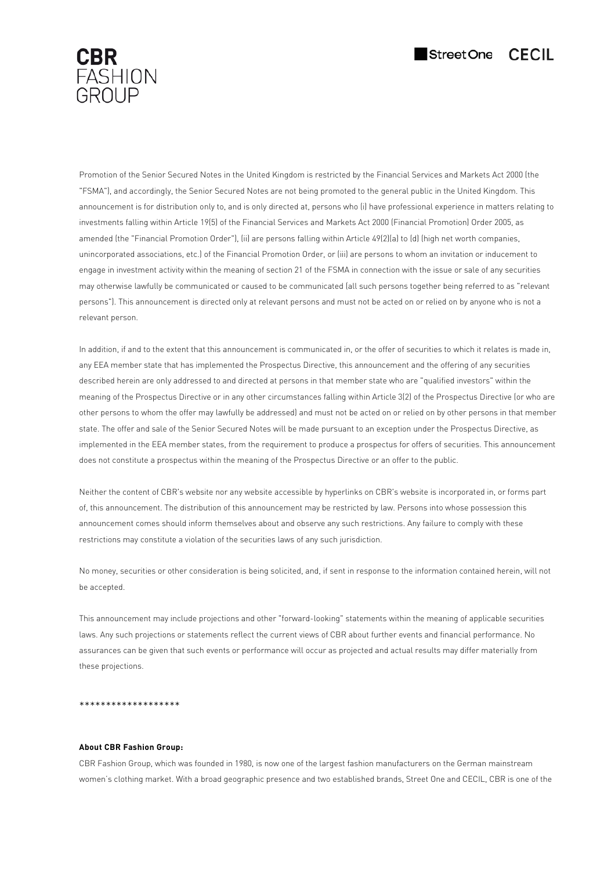



Promotion of the Senior Secured Notes in the United Kingdom is restricted by the Financial Services and Markets Act 2000 (the "FSMA"), and accordingly, the Senior Secured Notes are not being promoted to the general public in the United Kingdom. This announcement is for distribution only to, and is only directed at, persons who (i) have professional experience in matters relating to investments falling within Article 19(5) of the Financial Services and Markets Act 2000 (Financial Promotion) Order 2005, as amended (the "Financial Promotion Order"), (ii) are persons falling within Article 49(2)(a) to (d) (high net worth companies, unincorporated associations, etc.) of the Financial Promotion Order, or (iii) are persons to whom an invitation or inducement to engage in investment activity within the meaning of section 21 of the FSMA in connection with the issue or sale of any securities may otherwise lawfully be communicated or caused to be communicated (all such persons together being referred to as "relevant persons"). This announcement is directed only at relevant persons and must not be acted on or relied on by anyone who is not a relevant person.

In addition, if and to the extent that this announcement is communicated in, or the offer of securities to which it relates is made in, any EEA member state that has implemented the Prospectus Directive, this announcement and the offering of any securities described herein are only addressed to and directed at persons in that member state who are "qualified investors" within the meaning of the Prospectus Directive or in any other circumstances falling within Article 3(2) of the Prospectus Directive (or who are other persons to whom the offer may lawfully be addressed) and must not be acted on or relied on by other persons in that member state. The offer and sale of the Senior Secured Notes will be made pursuant to an exception under the Prospectus Directive, as implemented in the EEA member states, from the requirement to produce a prospectus for offers of securities. This announcement does not constitute a prospectus within the meaning of the Prospectus Directive or an offer to the public.

Neither the content of CBR's website nor any website accessible by hyperlinks on CBR's website is incorporated in, or forms part of, this announcement. The distribution of this announcement may be restricted by law. Persons into whose possession this announcement comes should inform themselves about and observe any such restrictions. Any failure to comply with these restrictions may constitute a violation of the securities laws of any such jurisdiction.

No money, securities or other consideration is being solicited, and, if sent in response to the information contained herein, will not be accepted.

This announcement may include projections and other "forward-looking" statements within the meaning of applicable securities laws. Any such projections or statements reflect the current views of CBR about further events and financial performance. No assurances can be given that such events or performance will occur as projected and actual results may differ materially from these projections.

#### \*\*\*\*\*\*\*\*\*\*\*\*\*\*\*\*\*

#### **About CBR Fashion Group:**

CBR Fashion Group, which was founded in 1980, is now one of the largest fashion manufacturers on the German mainstream women's clothing market. With a broad geographic presence and two established brands, Street One and CECIL, CBR is one of the